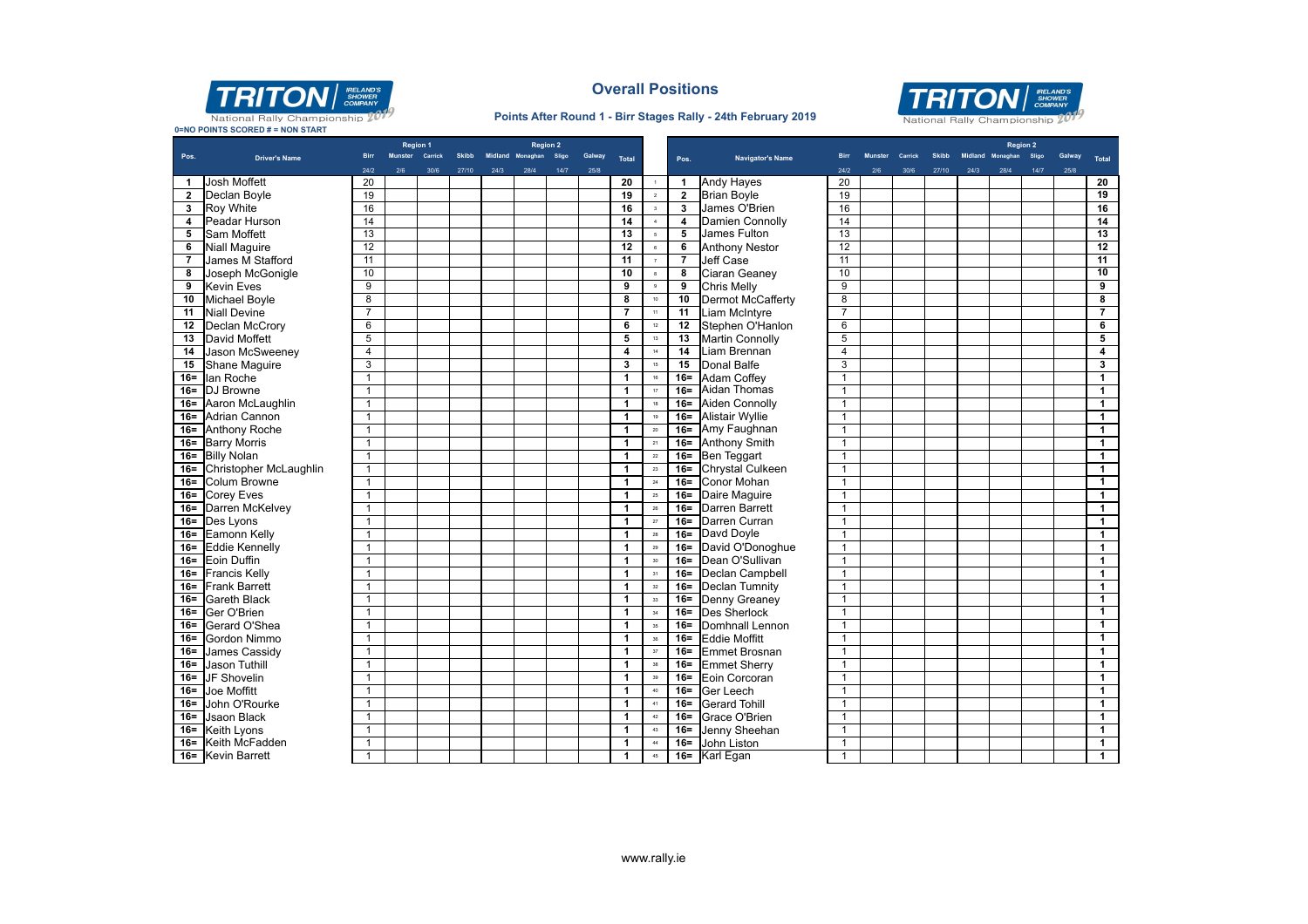

**0=NO POINTS SCORED # = NON START**

### **Overall Positions**

#### **Points After Round 1 - Birr Stages Rally - 24th February 2019**



|                | <u>U-NO POINTS SCORED # - NON START</u> |                         | <b>Region 1</b> |      |              |      | <b>Region 2</b>        |      |        |                         |                          |                |                         |                |                |         |              |      | <b>Region 2</b>  |       |        |                         |
|----------------|-----------------------------------------|-------------------------|-----------------|------|--------------|------|------------------------|------|--------|-------------------------|--------------------------|----------------|-------------------------|----------------|----------------|---------|--------------|------|------------------|-------|--------|-------------------------|
| Pos.           | <b>Driver's Name</b>                    | <b>Birr</b>             | Munster Carrick |      | <b>Skibb</b> |      | Midland Monaghan Sligo |      | Galway | <b>Total</b>            |                          | Pos.           | <b>Navigator's Name</b> | <b>Birr</b>    | <b>Munster</b> | Carrick | <b>Skibb</b> |      | Midland Monaghan | Sligo | Galway | Total                   |
|                |                                         | 24/2                    | 2/6             | 30/6 | 27/10        | 24/3 | 28/4                   | 14/7 | 25/8   |                         |                          |                |                         | 24/2           | 2/6            | 30/6    | 27/10        | 24/3 | 28/4             | 14/7  | 25/8   |                         |
| 1              | Josh Moffett                            | 20                      |                 |      |              |      |                        |      |        | 20                      | $\blacksquare$           | -1             | <b>Andy Haves</b>       | 20             |                |         |              |      |                  |       |        | 20                      |
| $\mathbf{2}$   | Declan Boyle                            | 19                      |                 |      |              |      |                        |      |        | 19                      | $\overline{2}$           | $\overline{2}$ | <b>Brian Boyle</b>      | 19             |                |         |              |      |                  |       |        | $\overline{19}$         |
| 3              | <b>Roy White</b>                        | 16                      |                 |      |              |      |                        |      |        | 16                      | $\overline{\mathbf{3}}$  | 3              | James O'Brien           | 16             |                |         |              |      |                  |       |        | 16                      |
| 4              | Peadar Hurson                           | 14                      |                 |      |              |      |                        |      |        | 14                      | $\overline{4}$           | 4              | Damien Connolly         | 14             |                |         |              |      |                  |       |        | 14                      |
| 5              | <b>Sam Moffett</b>                      | 13                      |                 |      |              |      |                        |      |        | 13                      | $\overline{\phantom{a}}$ | 5              | James Fulton            | 13             |                |         |              |      |                  |       |        | 13                      |
| 6              | <b>Niall Maguire</b>                    | 12                      |                 |      |              |      |                        |      |        | 12                      | $\,$ 6                   | 6              | <b>Anthony Nestor</b>   | 12             |                |         |              |      |                  |       |        | $\overline{12}$         |
| $\overline{7}$ | James M Stafford                        | 11                      |                 |      |              |      |                        |      |        | 11                      | $\overline{7}$           | $\overline{7}$ | Jeff Case               | 11             |                |         |              |      |                  |       |        | 11                      |
| 8              | Joseph McGonigle                        | 10                      |                 |      |              |      |                        |      |        | 10                      | $\mathbf{8}$             | 8              | Ciaran Geaney           | 10             |                |         |              |      |                  |       |        | 10                      |
| 9              | <b>Kevin Eves</b>                       | 9                       |                 |      |              |      |                        |      |        | 9                       | $_{\rm 9}$               | 9              | <b>Chris Melly</b>      | $\overline{9}$ |                |         |              |      |                  |       |        | ु                       |
| 10             | <b>Michael Boyle</b>                    | 8                       |                 |      |              |      |                        |      |        | 8                       | 10                       | 10             | Dermot McCafferty       | 8              |                |         |              |      |                  |       |        | $\overline{\mathbf{8}}$ |
| 11             | Niall Devine                            | $\overline{7}$          |                 |      |              |      |                        |      |        | $\overline{7}$          | $\bar{\mathbf{H}}$       | 11             | Liam McIntyre           | $\overline{7}$ |                |         |              |      |                  |       |        | $\overline{7}$          |
|                | 12 Declan McCrory                       | 6                       |                 |      |              |      |                        |      |        | 6                       | 12                       | 12             | Stephen O'Hanlon        | 6              |                |         |              |      |                  |       |        | 6                       |
| 13             | David Moffett                           | 5                       |                 |      |              |      |                        |      |        | 5                       | 13                       | 13             | <b>Martin Connolly</b>  | 5              |                |         |              |      |                  |       |        | 5                       |
| 14             | Jason McSweeney                         | $\overline{\mathbf{4}}$ |                 |      |              |      |                        |      |        | $\overline{4}$          | 14                       | 14             | Liam Brennan            | $\overline{4}$ |                |         |              |      |                  |       |        | $\overline{4}$          |
| 15             | Shane Maguire                           | 3                       |                 |      |              |      |                        |      |        | $\overline{\mathbf{3}}$ | $15$                     | 15             | <b>Donal Balfe</b>      | 3              |                |         |              |      |                  |       |        | $\mathbf{3}$            |
|                | 16 - Ilan Roche                         | 1                       |                 |      |              |      |                        |      |        | $\mathbf{1}$            | 16                       | $16 =$         | Adam Coffev             | $\mathbf{1}$   |                |         |              |      |                  |       |        | $\overline{1}$          |
|                | 16= DJ Browne                           | $\overline{1}$          |                 |      |              |      |                        |      |        | $\mathbf{1}$            | $17\,$                   | $16=$          | Aidan Thomas            | $\overline{1}$ |                |         |              |      |                  |       |        | $\mathbf{1}$            |
|                | 16= Aaron McLaughlin                    | $\mathbf{1}$            |                 |      |              |      |                        |      |        | $\mathbf{1}$            | 18                       |                | 16= Aiden Connolly      | $\mathbf{1}$   |                |         |              |      |                  |       |        | $\overline{1}$          |
|                | 16= Adrian Cannon                       | $\mathbf{1}$            |                 |      |              |      |                        |      |        | $\mathbf{1}$            | 19                       |                | 16= Alistair Wyllie     | $\mathbf{1}$   |                |         |              |      |                  |       |        | $\overline{1}$          |
|                | 16= Anthony Roche                       | $\mathbf{1}$            |                 |      |              |      |                        |      |        | $\overline{1}$          | $\overline{20}$          | $16=$          | Amy Faughnan            | $\mathbf{1}$   |                |         |              |      |                  |       |        | $\overline{1}$          |
|                | 16= Barry Morris                        | $\mathbf{1}$            |                 |      |              |      |                        |      |        | $\mathbf{1}$            | $\mathbf{21}$            |                | 16= Anthony Smith       | $\mathbf{1}$   |                |         |              |      |                  |       |        | $\mathbf{1}$            |
|                | 16= Billy Nolan                         | $\mathbf{1}$            |                 |      |              |      |                        |      |        | $\mathbf{1}$            | $\overline{22}$          |                | 16 Ben Teggart          | $\mathbf{1}$   |                |         |              |      |                  |       |        | $\mathbf{1}$            |
|                | 16= Christopher McLaughlin              | $\mathbf{1}$            |                 |      |              |      |                        |      |        | 1                       | $23\,$                   | $16 =$         | Chrystal Culkeen        | $\mathbf{1}$   |                |         |              |      |                  |       |        | $\overline{1}$          |
|                | 16= Colum Browne                        | $\mathbf{1}$            |                 |      |              |      |                        |      |        | $\mathbf{1}$            | $^{24}$                  |                | 16= Conor Mohan         | $\mathbf{1}$   |                |         |              |      |                  |       |        | $\overline{1}$          |
|                | 16= Corey Eves                          | $\mathbf{1}$            |                 |      |              |      |                        |      |        | $\mathbf{1}$            | $\bf 25$                 | $16 =$         | Daire Maguire           | $\mathbf{1}$   |                |         |              |      |                  |       |        | $\overline{1}$          |
|                | 16= Darren McKelvey                     | $\mathbf{1}$            |                 |      |              |      |                        |      |        | 1                       | $26\,$                   |                | 16 Darren Barrett       | $\mathbf{1}$   |                |         |              |      |                  |       |        | $\overline{1}$          |
|                | 16 Des Lyons                            | $\mathbf{1}$            |                 |      |              |      |                        |      |        | $\mathbf{1}$            | $\sqrt{27}$              | $16=$          | Darren Curran           | $\mathbf{1}$   |                |         |              |      |                  |       |        | $\mathbf{1}$            |
|                | 16= Eamonn Kelly                        | $\mathbf{1}$            |                 |      |              |      |                        |      |        | $\overline{1}$          | 28                       |                | 16 Davd Doyle           | $\mathbf{1}$   |                |         |              |      |                  |       |        | $\overline{1}$          |
|                | 16 Eddie Kennelly                       | $\mathbf{1}$            |                 |      |              |      |                        |      |        | 1                       | $29\,$                   |                | 16= David O'Donoghue    | $\overline{1}$ |                |         |              |      |                  |       |        | $\overline{1}$          |
|                | 16= Eoin Duffin                         | $\mathbf{1}$            |                 |      |              |      |                        |      |        | $\mathbf{1}$            | 30                       |                | 16 Dean O'Sullivan      | $\mathbf{1}$   |                |         |              |      |                  |       |        | $\mathbf{1}$            |
|                | 16= Francis Kelly                       | $\mathbf{1}$            |                 |      |              |      |                        |      |        | $\overline{1}$          | 31                       |                | 16= Declan Campbell     | $\mathbf{1}$   |                |         |              |      |                  |       |        | $\overline{1}$          |
|                | 16 Frank Barrett                        | $\mathbf{1}$            |                 |      |              |      |                        |      |        | $\mathbf{1}$            | $_{32}$                  |                | 16= Declan Tumnity      | $\mathbf{1}$   |                |         |              |      |                  |       |        | $\mathbf{1}$            |
| 16=            | <b>Gareth Black</b>                     | $\mathbf{1}$            |                 |      |              |      |                        |      |        | $\mathbf{1}$            | 33                       |                | 16= Denny Greaney       | $\mathbf{1}$   |                |         |              |      |                  |       |        | $\mathbf{1}$            |
|                | 16= Ger O'Brien                         | $\mathbf{1}$            |                 |      |              |      |                        |      |        | 1                       | $34\,$                   | $16=$          | <b>Des Sherlock</b>     | $\mathbf{1}$   |                |         |              |      |                  |       |        | $\overline{1}$          |
|                | 16= Gerard O'Shea                       | $\mathbf{1}$            |                 |      |              |      |                        |      |        | $\mathbf{1}$            | 35                       | $16 =$         | Domhnall Lennon         | $\mathbf{1}$   |                |         |              |      |                  |       |        | $\overline{1}$          |
|                | 16= Gordon Nimmo                        | $\mathbf{1}$            |                 |      |              |      |                        |      |        | 1                       | 36                       | $16=$          | Eddie Moffitt           | $\mathbf{1}$   |                |         |              |      |                  |       |        | $\overline{1}$          |
|                | 16= James Cassidy                       | $\mathbf{1}$            |                 |      |              |      |                        |      |        | $\mathbf{1}$            | $37\,$                   | $16 =$         | <b>Emmet Brosnan</b>    | $\mathbf{1}$   |                |         |              |      |                  |       |        | $\mathbf{1}$            |
| $16 =$         | Jason Tuthill                           | $\mathbf{1}$            |                 |      |              |      |                        |      |        | $\overline{1}$          | $38\,$                   | $16=$          | <b>Emmet Sherry</b>     | $\mathbf{1}$   |                |         |              |      |                  |       |        | $\overline{1}$          |
| $16 =$         | JF Shovelin                             | $\overline{1}$          |                 |      |              |      |                        |      |        | $\mathbf{1}$            | 39                       | $16 =$         | Eoin Corcoran           | $\mathbf{1}$   |                |         |              |      |                  |       |        | $\mathbf{1}$            |
| $16 =$         | <b>Joe Moffitt</b>                      | $\mathbf{1}$            |                 |      |              |      |                        |      |        | $\mathbf{1}$            | $40\,$                   | $16 =$         | Ger Leech               | $\mathbf{1}$   |                |         |              |      |                  |       |        | $\mathbf{1}$            |
|                | 16= John O'Rourke                       | $\mathbf{1}$            |                 |      |              |      |                        |      |        | $\mathbf{1}$            | 41                       | $16=$          | <b>Gerard Tohill</b>    | $\mathbf{1}$   |                |         |              |      |                  |       |        | $\overline{1}$          |
| $16 =$         | <b>Jsaon Black</b>                      | $\mathbf{1}$            |                 |      |              |      |                        |      |        | $\mathbf{1}$            | $42\,$                   |                | 16= Grace O'Brien       | $\mathbf{1}$   |                |         |              |      |                  |       |        | $\mathbf{1}$            |
|                | 16 Keith Lyons                          | $\mathbf{1}$            |                 |      |              |      |                        |      |        | 1                       | $43\,$                   | $16 =$         | Jenny Sheehan           | $\mathbf{1}$   |                |         |              |      |                  |       |        | $\overline{1}$          |
|                | 16= Keith McFadden                      | $\mathbf{1}$            |                 |      |              |      |                        |      |        | $\mathbf{1}$            | 44                       |                | 16 John Liston          | $\mathbf{1}$   |                |         |              |      |                  |       |        | $\mathbf{1}$            |
|                | 16= Kevin Barrett                       | $\mathbf{1}$            |                 |      |              |      |                        |      |        | $\mathbf{1}$            | 45                       | $16 =$         | Karl Egan               | $\mathbf{1}$   |                |         |              |      |                  |       |        | $\mathbf{1}$            |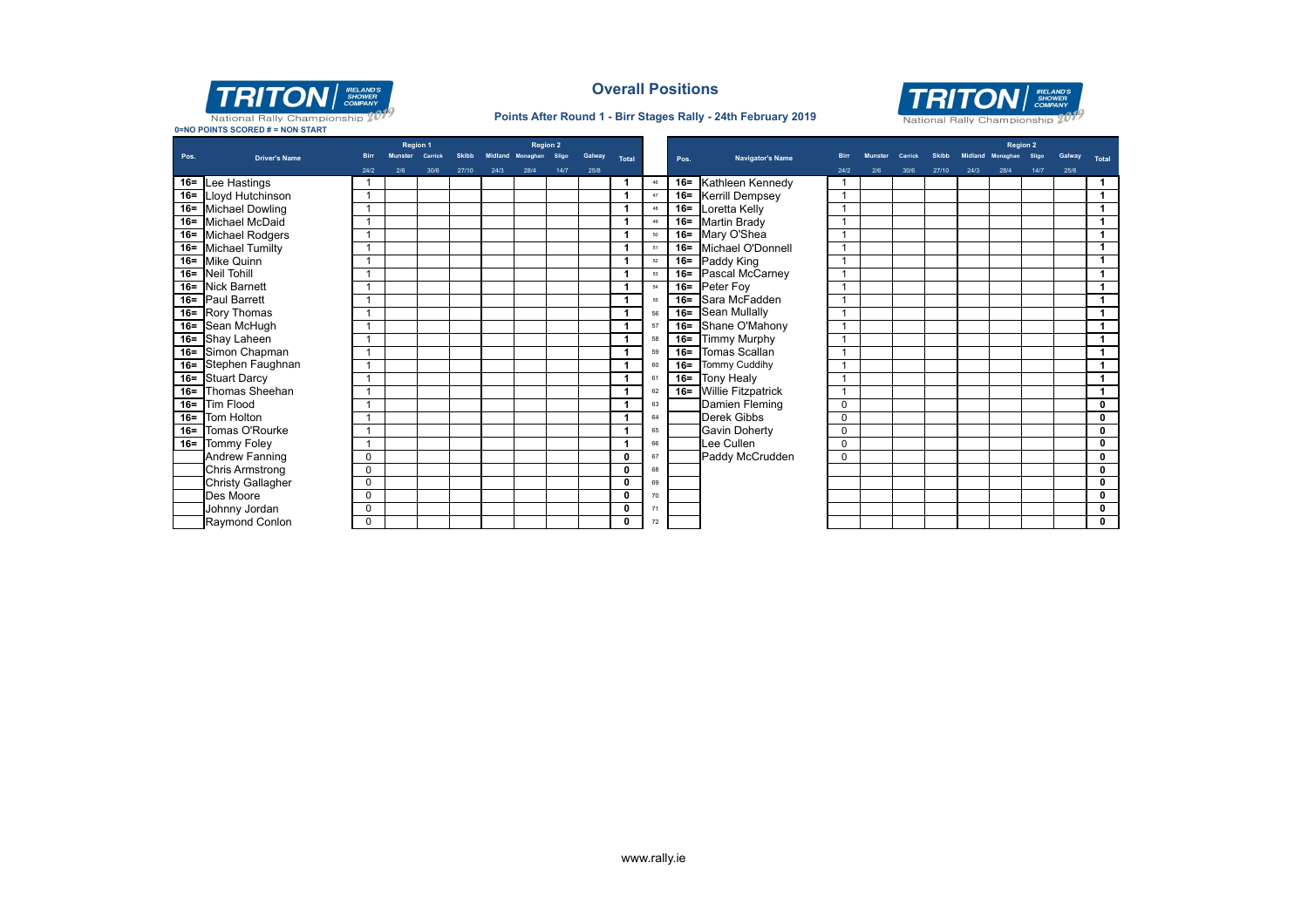

### **Overall Positions**

#### **Points After Round 1 - Birr Stages Rally - 24th February 2019**



**0=NO POINTS SCORED # = NON START**

|      |                          |             | <b>Region 1</b> |         |              |      | <b>Region 2</b>  |       |        |              |    |        |                           |             |     |         |              |      | <b>Region 2</b> |      |      |                         |
|------|--------------------------|-------------|-----------------|---------|--------------|------|------------------|-------|--------|--------------|----|--------|---------------------------|-------------|-----|---------|--------------|------|-----------------|------|------|-------------------------|
| Pos. | <b>Driver's Name</b>     |             | <b>Munster</b>  | Carrick | <b>Skibb</b> |      | Midland Monaghan | Sligo | Galway | Total        |    | Pos.   | <b>Navigator's Name</b>   | <b>Birr</b> |     | Carrick | <b>Skibb</b> |      | <b>Monaghan</b> |      |      | <b>Total</b>            |
|      |                          | 24/2        | 2/6             | 30/6    | 27/10        | 24/3 | 28/4             | 14/7  | 25/8   |              |    |        |                           | 24/2        | 2/6 | 30/6    | 27/10        | 24/3 | 28/4            | 14/7 | 25/8 |                         |
|      | 16 = Lee Hastings        |             |                 |         |              |      |                  |       |        |              | 46 | $16=$  | Kathleen Kennedy          |             |     |         |              |      |                 |      |      | $\overline{1}$          |
|      | 16= Lloyd Hutchinson     |             |                 |         |              |      |                  |       |        |              | 47 | $16 =$ | <b>Kerrill Dempsey</b>    |             |     |         |              |      |                 |      |      | $\overline{1}$          |
|      | 16= Michael Dowling      |             |                 |         |              |      |                  |       |        |              | 48 | $16 =$ | Loretta Kelly             |             |     |         |              |      |                 |      |      | $\mathbf{1}$            |
|      | 16= Michael McDaid       |             |                 |         |              |      |                  |       |        |              | 49 | $16 =$ | <b>Martin Brady</b>       |             |     |         |              |      |                 |      |      | $\mathbf{1}$            |
|      | 16= Michael Rodgers      |             |                 |         |              |      |                  |       |        |              | 50 | $16 =$ | Mary O'Shea               |             |     |         |              |      |                 |      |      | $\mathbf{1}$            |
|      | 16= Michael Tumilty      |             |                 |         |              |      |                  |       |        |              | 51 | $16 =$ | Michael O'Donnell         |             |     |         |              |      |                 |      |      | $\overline{1}$          |
|      | 16= Mike Quinn           |             |                 |         |              |      |                  |       |        |              | 52 | $16 =$ | Paddy King                |             |     |         |              |      |                 |      |      | $\overline{1}$          |
|      | 16 = Neil Tohill         |             |                 |         |              |      |                  |       |        |              | 53 | $16=$  | Pascal McCarney           |             |     |         |              |      |                 |      |      | $\overline{1}$          |
|      | 16= Nick Barnett         |             |                 |         |              |      |                  |       |        |              | 54 | $16=$  | Peter Foy                 |             |     |         |              |      |                 |      |      | $\overline{1}$          |
|      | 16= Paul Barrett         |             |                 |         |              |      |                  |       |        |              | 55 | $16 =$ | Sara McFadden             |             |     |         |              |      |                 |      |      | $\overline{1}$          |
|      | 16= Rory Thomas          |             |                 |         |              |      |                  |       |        |              | 56 | $16=$  | Sean Mullally             |             |     |         |              |      |                 |      |      | $\overline{1}$          |
|      | 16= Sean McHugh          |             |                 |         |              |      |                  |       |        |              | 57 | $16 =$ | Shane O'Mahony            |             |     |         |              |      |                 |      |      | $\mathbf{1}$            |
|      | 16= Shay Laheen          |             |                 |         |              |      |                  |       |        |              | 58 | $16 =$ | <b>Timmy Murphy</b>       |             |     |         |              |      |                 |      |      | $\mathbf{1}$            |
|      | 16= Simon Chapman        |             |                 |         |              |      |                  |       |        |              | 59 | $16=$  | Tomas Scallan             |             |     |         |              |      |                 |      |      | $\overline{1}$          |
|      | 16= Stephen Faughnan     |             |                 |         |              |      |                  |       |        |              | 60 | $16 =$ | <b>Tommy Cuddihy</b>      |             |     |         |              |      |                 |      |      | $\mathbf{1}$            |
|      | 16= Stuart Darcy         |             |                 |         |              |      |                  |       |        |              | 61 | $16 =$ | <b>Tony Healy</b>         |             |     |         |              |      |                 |      |      | $\overline{1}$          |
|      | 16= Thomas Sheehan       |             |                 |         |              |      |                  |       |        |              | 62 | $16 =$ | <b>Willie Fitzpatrick</b> |             |     |         |              |      |                 |      |      | $\mathbf{1}$            |
|      | 16= Tim Flood            |             |                 |         |              |      |                  |       |        |              | 63 |        | Damien Fleming            | $\mathbf 0$ |     |         |              |      |                 |      |      | $\overline{\mathbf{0}}$ |
|      | 16= Tom Holton           |             |                 |         |              |      |                  |       |        |              | 64 |        | <b>Derek Gibbs</b>        | $\mathbf 0$ |     |         |              |      |                 |      |      | $\overline{\mathbf{0}}$ |
|      | 16= Tomas O'Rourke       |             |                 |         |              |      |                  |       |        |              | 65 |        | <b>Gavin Doherty</b>      | 0           |     |         |              |      |                 |      |      | $\mathbf 0$             |
|      | 16= Tommy Foley          |             |                 |         |              |      |                  |       |        |              | 66 |        | Lee Cullen                | $\mathbf 0$ |     |         |              |      |                 |      |      | $\overline{\mathbf{0}}$ |
|      | Andrew Fanning           | $\Omega$    |                 |         |              |      |                  |       |        | 0            | 67 |        | Paddy McCrudden           | $\Omega$    |     |         |              |      |                 |      |      | 0                       |
|      | <b>Chris Armstrong</b>   | $\Omega$    |                 |         |              |      |                  |       |        | 0            | 68 |        |                           |             |     |         |              |      |                 |      |      | $\overline{\mathbf{0}}$ |
|      | <b>Christy Gallagher</b> | $\Omega$    |                 |         |              |      |                  |       |        | 0            | 69 |        |                           |             |     |         |              |      |                 |      |      | $\mathbf 0$             |
|      | Des Moore                | $\Omega$    |                 |         |              |      |                  |       |        | $\mathbf{0}$ | 70 |        |                           |             |     |         |              |      |                 |      |      | $\mathbf 0$             |
|      | Johnny Jordan            | 0           |                 |         |              |      |                  |       |        | $\mathbf{0}$ | 71 |        |                           |             |     |         |              |      |                 |      |      | $\mathbf 0$             |
|      | Raymond Conlon           | $\mathbf 0$ |                 |         |              |      |                  |       |        | $\Omega$     | 72 |        |                           |             |     |         |              |      |                 |      |      | $\mathbf 0$             |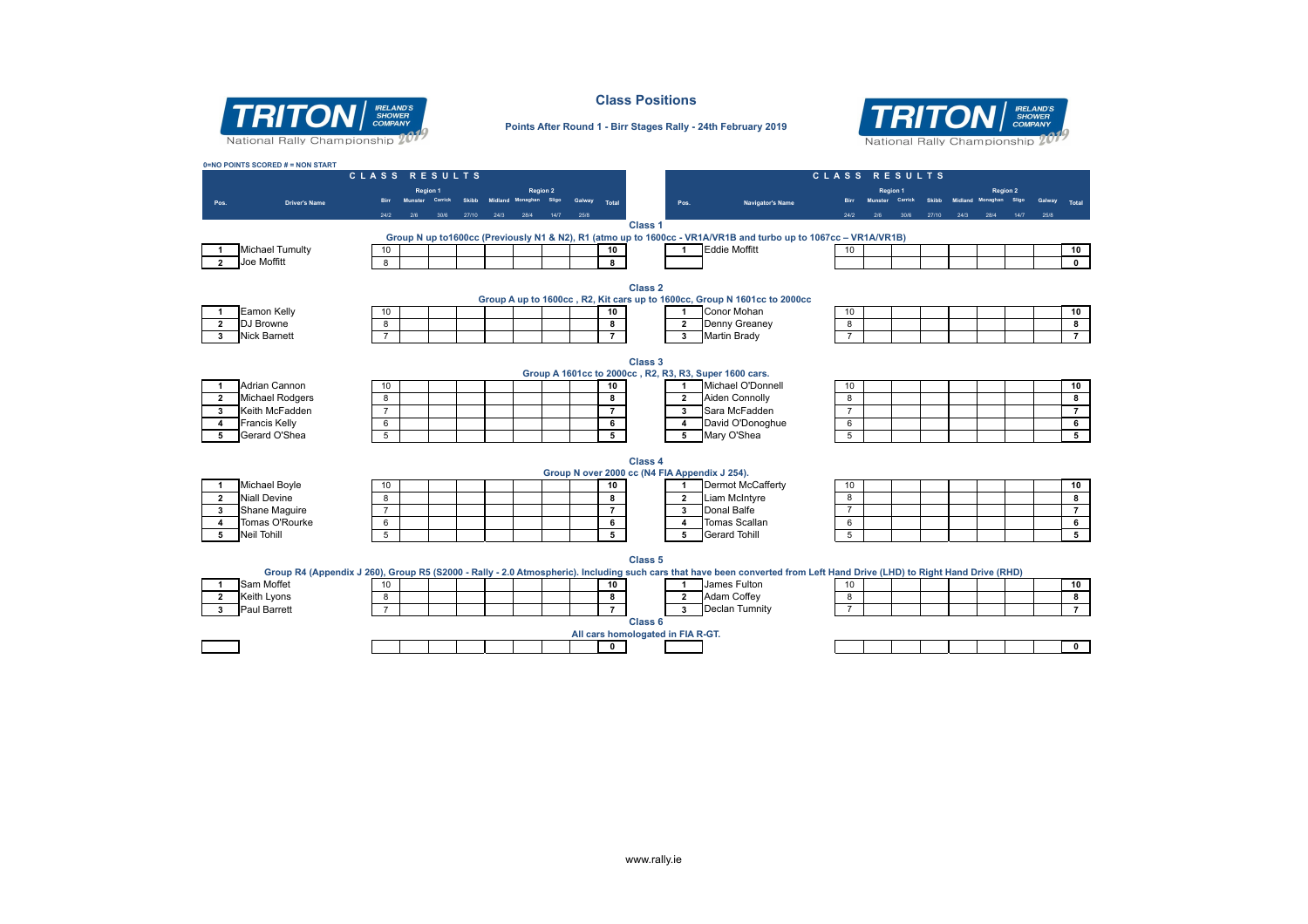

**0=NO POINTS SCORED # = NON START**

#### **Class Positions**



#### **Points After Round 1 - Birr Stages Rally - 24th February 2019**

|                                |                                 |                     | CLASS RESULTS      |              |      |                  |        |                     |                                   |                |                                                                                                                                                                          | CLASS RESULTS  |                |         |       |                        |                 |       |        |                          |
|--------------------------------|---------------------------------|---------------------|--------------------|--------------|------|------------------|--------|---------------------|-----------------------------------|----------------|--------------------------------------------------------------------------------------------------------------------------------------------------------------------------|----------------|----------------|---------|-------|------------------------|-----------------|-------|--------|--------------------------|
|                                |                                 |                     | <b>Region 1</b>    |              |      | <b>Region 2</b>  |        |                     |                                   |                |                                                                                                                                                                          |                | Region 1       |         |       |                        | <b>Region 2</b> |       |        |                          |
| Pos.                           | <b>Driver's Name</b>            |                     | Munster<br>Carrick | <b>Skibb</b> |      | Midland Monaghan | Galway | Total               |                                   | Pos.           | Navigator's Name                                                                                                                                                         |                | <b>Munster</b> | Carrick |       | Skibb Midland Monaghan |                 | Sligo | Galway | Total                    |
|                                |                                 | 24/2                | 30%                | 27/10        | 24/3 | 28/4<br>14/7     | 25/8   |                     |                                   |                |                                                                                                                                                                          |                |                | 30/6    | 27/10 | 24/3                   | 28/4            | 14/7  | 25/8   |                          |
|                                |                                 |                     |                    |              |      |                  |        |                     | Class <sub>1</sub>                |                |                                                                                                                                                                          |                |                |         |       |                        |                 |       |        |                          |
|                                |                                 |                     |                    |              |      |                  |        |                     |                                   |                | Group N up to1600cc (Previously N1 & N2), R1 (atmo up to 1600cc - VR1A/VR1B and turbo up to 1067cc - VR1A/VR1B)                                                          |                |                |         |       |                        |                 |       |        |                          |
|                                | <b>Michael Tumulty</b>          | 10                  |                    |              |      |                  |        | 10                  |                                   | 1              | <b>Eddie Moffitt</b>                                                                                                                                                     | 10             |                |         |       |                        |                 |       |        | 10                       |
| $\overline{2}$                 | Joe Moffitt                     | 8                   |                    |              |      |                  |        | 8                   |                                   |                |                                                                                                                                                                          |                |                |         |       |                        |                 |       |        | $\overline{\mathbf{0}}$  |
|                                |                                 |                     |                    |              |      |                  |        |                     |                                   |                |                                                                                                                                                                          |                |                |         |       |                        |                 |       |        |                          |
|                                |                                 |                     |                    |              |      |                  |        |                     | Class <sub>2</sub>                |                |                                                                                                                                                                          |                |                |         |       |                        |                 |       |        |                          |
|                                |                                 |                     |                    |              |      |                  |        |                     |                                   |                | Group A up to 1600cc, R2, Kit cars up to 1600cc, Group N 1601cc to 2000cc<br>Conor Mohan                                                                                 |                |                |         |       |                        |                 |       |        |                          |
| 1                              | <b>Eamon Kelly</b><br>DJ Browne | 10                  |                    |              |      |                  |        | 10                  |                                   | 1              | Denny Greaney                                                                                                                                                            | 10             |                |         |       |                        |                 |       |        | 10<br>$\bullet$          |
| $\overline{2}$<br>$\mathbf{3}$ | <b>Nick Barnett</b>             | 8<br>$\overline{7}$ |                    |              |      |                  |        | 8<br>$\overline{7}$ |                                   | $\overline{2}$ | Martin Brady                                                                                                                                                             | 8              |                |         |       |                        |                 |       |        | $\overline{7}$           |
|                                |                                 |                     |                    |              |      |                  |        |                     |                                   | $\mathbf{3}$   |                                                                                                                                                                          | $\overline{7}$ |                |         |       |                        |                 |       |        |                          |
|                                |                                 |                     |                    |              |      |                  |        |                     |                                   |                |                                                                                                                                                                          |                |                |         |       |                        |                 |       |        |                          |
|                                |                                 |                     |                    |              |      |                  |        |                     | Class <sub>3</sub>                |                | Group A 1601cc to 2000cc, R2, R3, R3, Super 1600 cars.                                                                                                                   |                |                |         |       |                        |                 |       |        |                          |
| 1                              | Adrian Cannon                   | 10                  |                    |              |      |                  |        | 10                  |                                   | $\mathbf{1}$   | Michael O'Donnell                                                                                                                                                        | 10             |                |         |       |                        |                 |       |        | 10                       |
| $\overline{2}$                 | <b>Michael Rodgers</b>          | 8                   |                    |              |      |                  |        | 8                   |                                   | $\overline{2}$ | <b>Aiden Connolly</b>                                                                                                                                                    | 8              |                |         |       |                        |                 |       |        | $\bullet$                |
| $\mathbf{3}$                   | Keith McFadden                  | $\overline{7}$      |                    |              |      |                  |        | $7^{\circ}$         |                                   | $3^{\circ}$    | Sara McFadden                                                                                                                                                            | $\overline{7}$ |                |         |       |                        |                 |       |        | $\overline{7}$           |
| $\overline{4}$                 | <b>Francis Kelly</b>            | 6                   |                    |              |      |                  |        | 6                   |                                   | $\overline{4}$ | David O'Donoghue                                                                                                                                                         | 6              |                |         |       |                        |                 |       |        | $\overline{6}$           |
| 5                              | Gerard O'Shea                   | 5                   |                    |              |      |                  |        | 5                   |                                   | 5              | Mary O'Shea                                                                                                                                                              | 5              |                |         |       |                        |                 |       |        | 5                        |
|                                |                                 |                     |                    |              |      |                  |        |                     |                                   |                |                                                                                                                                                                          |                |                |         |       |                        |                 |       |        |                          |
|                                |                                 |                     |                    |              |      |                  |        |                     | Class 4                           |                |                                                                                                                                                                          |                |                |         |       |                        |                 |       |        |                          |
|                                |                                 |                     |                    |              |      |                  |        |                     |                                   |                | Group N over 2000 cc (N4 FIA Appendix J 254).                                                                                                                            |                |                |         |       |                        |                 |       |        |                          |
| $\mathbf{1}$                   | <b>Michael Boyle</b>            | 10                  |                    |              |      |                  |        | 10                  |                                   | 1              | Dermot McCafferty                                                                                                                                                        | 10             |                |         |       |                        |                 |       |        | 10                       |
| $\overline{2}$                 | <b>Niall Devine</b>             | 8                   |                    |              |      |                  |        | 8                   |                                   | $\overline{2}$ | Liam McIntyre                                                                                                                                                            | 8              |                |         |       |                        |                 |       |        | 8                        |
| 3                              | Shane Maquire                   | $\overline{7}$      |                    |              |      |                  |        | $\overline{7}$      |                                   | $\mathbf{3}$   | Donal Balfe                                                                                                                                                              | $\overline{7}$ |                |         |       |                        |                 |       |        | $\overline{7}$           |
| $\overline{\mathbf{4}}$        | Tomas O'Rourke                  | 6                   |                    |              |      |                  |        | 6                   |                                   | $\overline{4}$ | <b>Tomas Scallan</b>                                                                                                                                                     | 6              |                |         |       |                        |                 |       |        | $\,$ 6                   |
| 5                              | <b>Neil Tohill</b>              | 5                   |                    |              |      |                  |        | 5                   |                                   | 5              | <b>Gerard Tohill</b>                                                                                                                                                     | 5              |                |         |       |                        |                 |       |        | 5                        |
|                                |                                 |                     |                    |              |      |                  |        |                     |                                   |                |                                                                                                                                                                          |                |                |         |       |                        |                 |       |        |                          |
|                                |                                 |                     |                    |              |      |                  |        |                     | Class <sub>5</sub>                |                |                                                                                                                                                                          |                |                |         |       |                        |                 |       |        |                          |
|                                |                                 |                     |                    |              |      |                  |        |                     |                                   |                | Group R4 (Appendix J 260), Group R5 (S2000 - Rally - 2.0 Atmospheric). Including such cars that have been converted from Left Hand Drive (LHD) to Right Hand Drive (RHD) |                |                |         |       |                        |                 |       |        |                          |
| $\mathbf{1}$                   | Sam Moffet                      | 10                  |                    |              |      |                  |        | 10                  |                                   | $\mathbf{1}$   | James Fulton                                                                                                                                                             | 10             |                |         |       |                        |                 |       |        | 10                       |
| $\overline{2}$                 | Keith Lyons                     | 8                   |                    |              |      |                  |        | 8                   |                                   | $\overline{2}$ | Adam Coffey                                                                                                                                                              | 8              |                |         |       |                        |                 |       |        | $\overline{\mathbf{8}}$  |
| 3                              | Paul Barrett                    | $\overline{7}$      |                    |              |      |                  |        | $\overline{7}$      |                                   | $\mathbf{3}$   | Declan Tumnity                                                                                                                                                           | $\overline{7}$ |                |         |       |                        |                 |       |        | $\overline{7}$           |
|                                |                                 |                     |                    |              |      |                  |        |                     | Class <sub>6</sub>                |                |                                                                                                                                                                          |                |                |         |       |                        |                 |       |        |                          |
|                                |                                 |                     |                    |              |      |                  |        |                     | All cars homologated in FIA R-GT. |                |                                                                                                                                                                          |                |                |         |       |                        |                 |       |        |                          |
|                                |                                 |                     |                    |              |      |                  |        | $\mathbf{0}$        |                                   |                |                                                                                                                                                                          |                |                |         |       |                        |                 |       |        | $\overline{\phantom{0}}$ |
|                                |                                 |                     |                    |              |      |                  |        |                     |                                   |                |                                                                                                                                                                          |                |                |         |       |                        |                 |       |        |                          |
|                                |                                 |                     |                    |              |      |                  |        |                     |                                   |                |                                                                                                                                                                          |                |                |         |       |                        |                 |       |        |                          |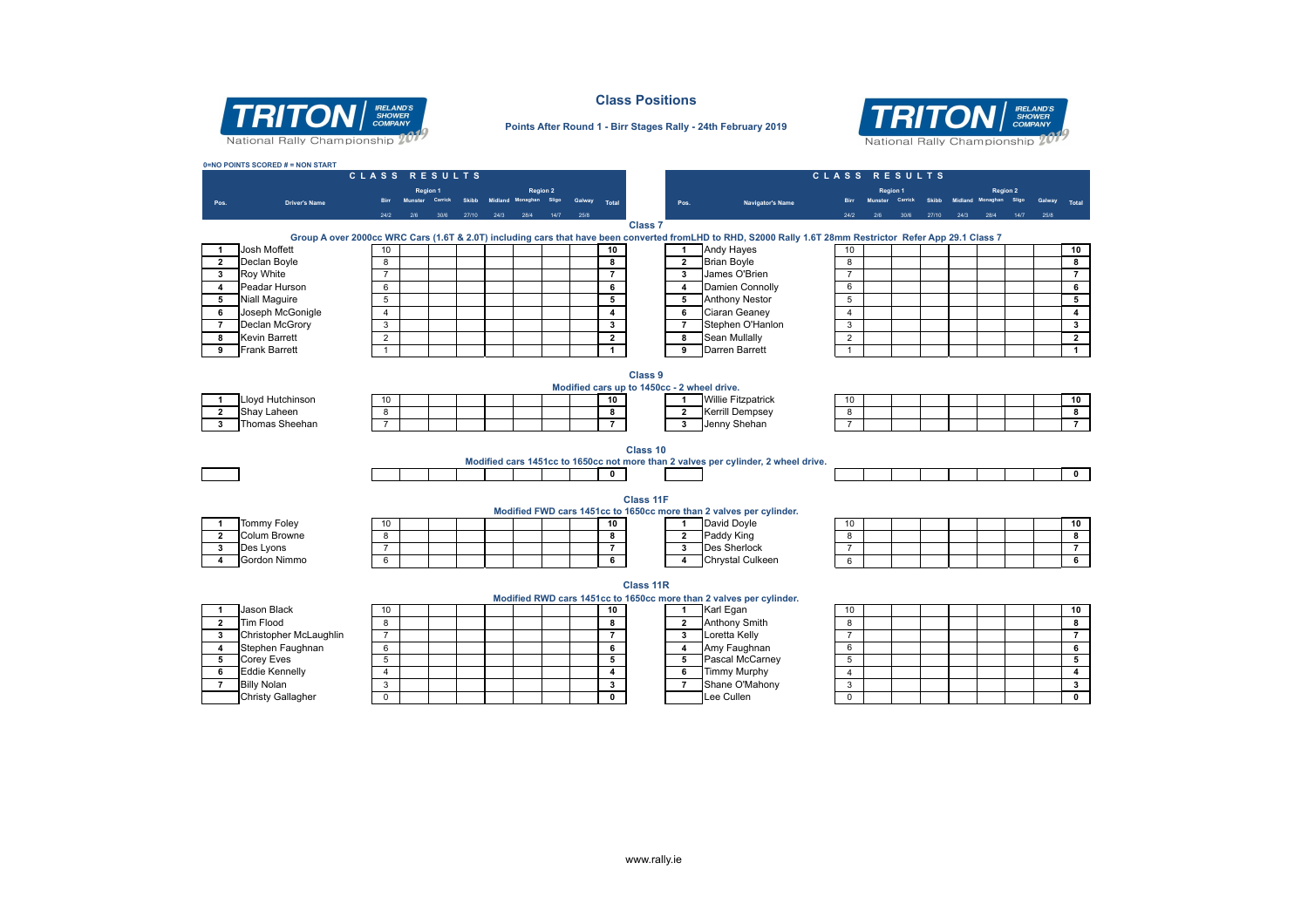

## **Class Positions Points After Round 1 - Birr Stages Rally - 24th February 2019**

# **TRITON** *RELANDS* National Rally Championship 207

|                | 0=NO POINTS SCORED # = NON START | CLASS RESULTS           |          |         |              |      |                                           |      |              |                         |                                             |                                                                                                                                                            | CLASS RESULTS  |                 |         |       |         |                             |              |        |                         |
|----------------|----------------------------------|-------------------------|----------|---------|--------------|------|-------------------------------------------|------|--------------|-------------------------|---------------------------------------------|------------------------------------------------------------------------------------------------------------------------------------------------------------|----------------|-----------------|---------|-------|---------|-----------------------------|--------------|--------|-------------------------|
|                |                                  |                         |          |         |              |      |                                           |      |              |                         |                                             |                                                                                                                                                            |                |                 |         |       |         |                             |              |        |                         |
|                | <b>Driver's Name</b>             | <b>Birr</b>             | Region 1 | Carrick | <b>Skihh</b> |      | <b>Region 2</b><br>Midland Monaghan Sligo |      | Galway Total |                         | Pos.                                        | Navigator's Name                                                                                                                                           |                | <b>Region 1</b> | Carrick | Skihh | Midland | <b>Region 2</b><br>Monaghan | <b>Sligo</b> | Galway | Total                   |
| Pos.           |                                  | 24/2                    |          |         | 27/10        | 24/3 | 28/4                                      | 14/7 | 25/8         |                         |                                             |                                                                                                                                                            |                |                 | 30%     | 27/10 |         |                             | 14/7         |        |                         |
|                |                                  |                         |          |         |              |      |                                           |      |              |                         | Class <sub>7</sub>                          |                                                                                                                                                            |                |                 |         |       |         |                             |              |        |                         |
|                |                                  |                         |          |         |              |      |                                           |      |              |                         |                                             | Group A over 2000cc WRC Cars (1.6T & 2.0T) including cars that have been converted fromLHD to RHD, S2000 Rally 1.6T 28mm Restrictor Refer App 29.1 Class 7 |                |                 |         |       |         |                             |              |        |                         |
| $\mathbf{1}$   | <b>Josh Moffett</b>              | 10                      |          |         |              |      |                                           |      |              | 10                      | $\mathbf{1}$                                | <b>Andy Hayes</b>                                                                                                                                          | 10             |                 |         |       |         |                             |              |        | 10                      |
| $\overline{2}$ | Declan Boyle                     | 8                       |          |         |              |      |                                           |      |              | 8                       | $\overline{2}$                              | <b>Brian Boyle</b>                                                                                                                                         | 8              |                 |         |       |         |                             |              |        | 8                       |
| 3              | <b>Roy White</b>                 | $\overline{7}$          |          |         |              |      |                                           |      |              | $\overline{7}$          | $\overline{\mathbf{3}}$                     | James O'Brien                                                                                                                                              | $\overline{7}$ |                 |         |       |         |                             |              |        | $\overline{7}$          |
| 4              | Peadar Hurson                    | 6                       |          |         |              |      |                                           |      |              | 6                       | $\overline{\mathbf{4}}$                     | Damien Connolly                                                                                                                                            | 6              |                 |         |       |         |                             |              |        | 6                       |
| 5              | <b>Niall Maguire</b>             | 5                       |          |         |              |      |                                           |      |              | $\overline{5}$          | $\overline{5}$                              | <b>Anthony Nestor</b>                                                                                                                                      | 5              |                 |         |       |         |                             |              |        | 5                       |
| 6              | Joseph McGonigle                 | $\overline{4}$          |          |         |              |      |                                           |      |              | $\overline{4}$          | 6                                           | Ciaran Geaney                                                                                                                                              | $\overline{4}$ |                 |         |       |         |                             |              |        | $\overline{4}$          |
| $\overline{7}$ | Declan McGrory                   | $\overline{3}$          |          |         |              |      |                                           |      |              | $\overline{\mathbf{3}}$ | $\overline{7}$                              | Stephen O'Hanlon                                                                                                                                           | $\overline{3}$ |                 |         |       |         |                             |              |        | $\overline{\mathbf{3}}$ |
| 8              | <b>Kevin Barrett</b>             | $\overline{2}$          |          |         |              |      |                                           |      |              | $\overline{2}$          | 8                                           | Sean Mullally                                                                                                                                              | $\overline{2}$ |                 |         |       |         |                             |              |        | $\overline{2}$          |
| 9              | <b>Frank Barrett</b>             | $\mathbf{1}$            |          |         |              |      |                                           |      |              | $\mathbf{1}$            | $\overline{9}$                              | Darren Barrett                                                                                                                                             | $\mathbf{1}$   |                 |         |       |         |                             |              |        | $\overline{1}$          |
|                |                                  |                         |          |         |              |      |                                           |      |              |                         |                                             |                                                                                                                                                            |                |                 |         |       |         |                             |              |        |                         |
|                |                                  |                         |          |         |              |      |                                           |      |              |                         | Class 9                                     |                                                                                                                                                            |                |                 |         |       |         |                             |              |        |                         |
|                |                                  |                         |          |         |              |      |                                           |      |              |                         | Modified cars up to 1450cc - 2 wheel drive. |                                                                                                                                                            |                |                 |         |       |         |                             |              |        |                         |
| $\mathbf{1}$   | Lloyd Hutchinson                 | 10                      |          |         |              |      |                                           |      |              | 10                      | $\mathbf{1}$                                | <b>Willie Fitzpatrick</b>                                                                                                                                  | 10             |                 |         |       |         |                             |              |        | 10                      |
| $\overline{2}$ | Shay Laheen                      | $\overline{\mathbf{8}}$ |          |         |              |      |                                           |      |              | 8                       | $\overline{2}$                              | <b>Kerrill Dempsey</b>                                                                                                                                     | 8              |                 |         |       |         |                             |              |        | 8                       |
| 3              | Thomas Sheehan                   | $\overline{7}$          |          |         |              |      |                                           |      |              | $\overline{7}$          | 3                                           | Jenny Shehan                                                                                                                                               | $\overline{7}$ |                 |         |       |         |                             |              |        | $\overline{7}$          |
|                |                                  |                         |          |         |              |      |                                           |      |              |                         |                                             |                                                                                                                                                            |                |                 |         |       |         |                             |              |        |                         |
|                |                                  |                         |          |         |              |      |                                           |      |              |                         | Class 10                                    |                                                                                                                                                            |                |                 |         |       |         |                             |              |        |                         |
|                |                                  |                         |          |         |              |      |                                           |      |              |                         |                                             | Modified cars 1451cc to 1650cc not more than 2 valves per cylinder, 2 wheel drive.                                                                         |                |                 |         |       |         |                             |              |        |                         |
|                |                                  |                         |          |         |              |      |                                           |      |              | $\mathbf 0$             |                                             |                                                                                                                                                            |                |                 |         |       |         |                             |              |        | $\overline{\mathbf{0}}$ |
|                |                                  |                         |          |         |              |      |                                           |      |              |                         |                                             |                                                                                                                                                            |                |                 |         |       |         |                             |              |        |                         |
|                |                                  |                         |          |         |              |      |                                           |      |              |                         | <b>Class 11F</b>                            |                                                                                                                                                            |                |                 |         |       |         |                             |              |        |                         |
|                |                                  |                         |          |         |              |      |                                           |      |              |                         |                                             | Modified FWD cars 1451cc to 1650cc more than 2 valves per cylinder.                                                                                        |                |                 |         |       |         |                             |              |        |                         |
| $\overline{1}$ | Tommy Foley                      | 10                      |          |         |              |      |                                           |      |              | 10                      | $\mathbf{1}$                                | David Doyle                                                                                                                                                | 10             |                 |         |       |         |                             |              |        | 10                      |
| $\overline{2}$ | Colum Browne                     | 8                       |          |         |              |      |                                           |      |              | $\overline{\mathbf{8}}$ | $\overline{2}$                              | Paddy King                                                                                                                                                 | 8              |                 |         |       |         |                             |              |        | $\overline{\mathbf{8}}$ |
| 3              | Des Lyons                        | $\overline{7}$          |          |         |              |      |                                           |      |              | $\overline{7}$          | 3                                           | <b>Des Sherlock</b>                                                                                                                                        | $\overline{7}$ |                 |         |       |         |                             |              |        | $\overline{7}$          |
| 4              | Gordon Nimmo                     | 6                       |          |         |              |      |                                           |      |              | 6                       | $\overline{4}$                              | Chrystal Culkeen                                                                                                                                           | 6              |                 |         |       |         |                             |              |        | 6                       |
|                |                                  |                         |          |         |              |      |                                           |      |              |                         |                                             |                                                                                                                                                            |                |                 |         |       |         |                             |              |        |                         |
|                |                                  |                         |          |         |              |      |                                           |      |              |                         | Class 11R                                   |                                                                                                                                                            |                |                 |         |       |         |                             |              |        |                         |
|                |                                  |                         |          |         |              |      |                                           |      |              |                         |                                             | Modified RWD cars 1451cc to 1650cc more than 2 valves per cylinder.                                                                                        |                |                 |         |       |         |                             |              |        |                         |
| $\mathbf{1}$   | Jason Black                      | 10                      |          |         |              |      |                                           |      |              | 10                      | $\mathbf{1}$                                | Karl Egan                                                                                                                                                  | 10             |                 |         |       |         |                             |              |        | 10                      |
| $\overline{2}$ | Tim Flood                        | 8                       |          |         |              |      |                                           |      |              | $\overline{\mathbf{8}}$ | $\overline{2}$                              | <b>Anthony Smith</b>                                                                                                                                       | 8              |                 |         |       |         |                             |              |        | $\overline{\mathbf{8}}$ |
| 3              | Christopher McLaughlin           | $\overline{7}$          |          |         |              |      |                                           |      |              | $\overline{7}$          | 3                                           | Loretta Kelly                                                                                                                                              | $\overline{7}$ |                 |         |       |         |                             |              |        | $\overline{7}$          |
| 4              | Stephen Faughnan                 | 6                       |          |         |              |      |                                           |      |              | 6                       | $\overline{\mathbf{4}}$                     | Amy Faughnan                                                                                                                                               | 6              |                 |         |       |         |                             |              |        | 6                       |
| 5              | <b>Corey Eves</b>                | 5                       |          |         |              |      |                                           |      |              | 5                       | 5                                           | Pascal McCarney                                                                                                                                            | 5              |                 |         |       |         |                             |              |        | 5                       |
| 6              | <b>Eddie Kennelly</b>            | $\overline{4}$          |          |         |              |      |                                           |      |              | $\overline{4}$          | $\overline{\mathbf{6}}$                     | <b>Timmy Murphy</b>                                                                                                                                        | $\overline{4}$ |                 |         |       |         |                             |              |        | $\overline{4}$          |
| $\overline{7}$ | <b>Billy Nolan</b>               | $\overline{3}$          |          |         |              |      |                                           |      |              | $\overline{\mathbf{3}}$ | $\overline{7}$                              | Shane O'Mahony                                                                                                                                             | 3              |                 |         |       |         |                             |              |        | $\overline{\mathbf{3}}$ |
|                | <b>Christy Gallagher</b>         | $\mathsf 0$             |          |         |              |      |                                           |      |              | $\mathbf 0$             |                                             | Lee Cullen                                                                                                                                                 | 0              |                 |         |       |         |                             |              |        | $\mathbf 0$             |
|                |                                  |                         |          |         |              |      |                                           |      |              |                         |                                             |                                                                                                                                                            |                |                 |         |       |         |                             |              |        |                         |
|                |                                  |                         |          |         |              |      |                                           |      |              |                         |                                             |                                                                                                                                                            |                |                 |         |       |         |                             |              |        |                         |
|                |                                  |                         |          |         |              |      |                                           |      |              |                         |                                             |                                                                                                                                                            |                |                 |         |       |         |                             |              |        |                         |
|                |                                  |                         |          |         |              |      |                                           |      |              |                         |                                             |                                                                                                                                                            |                |                 |         |       |         |                             |              |        |                         |
|                |                                  |                         |          |         |              |      |                                           |      |              |                         |                                             |                                                                                                                                                            |                |                 |         |       |         |                             |              |        |                         |
|                |                                  |                         |          |         |              |      |                                           |      |              |                         |                                             |                                                                                                                                                            |                |                 |         |       |         |                             |              |        |                         |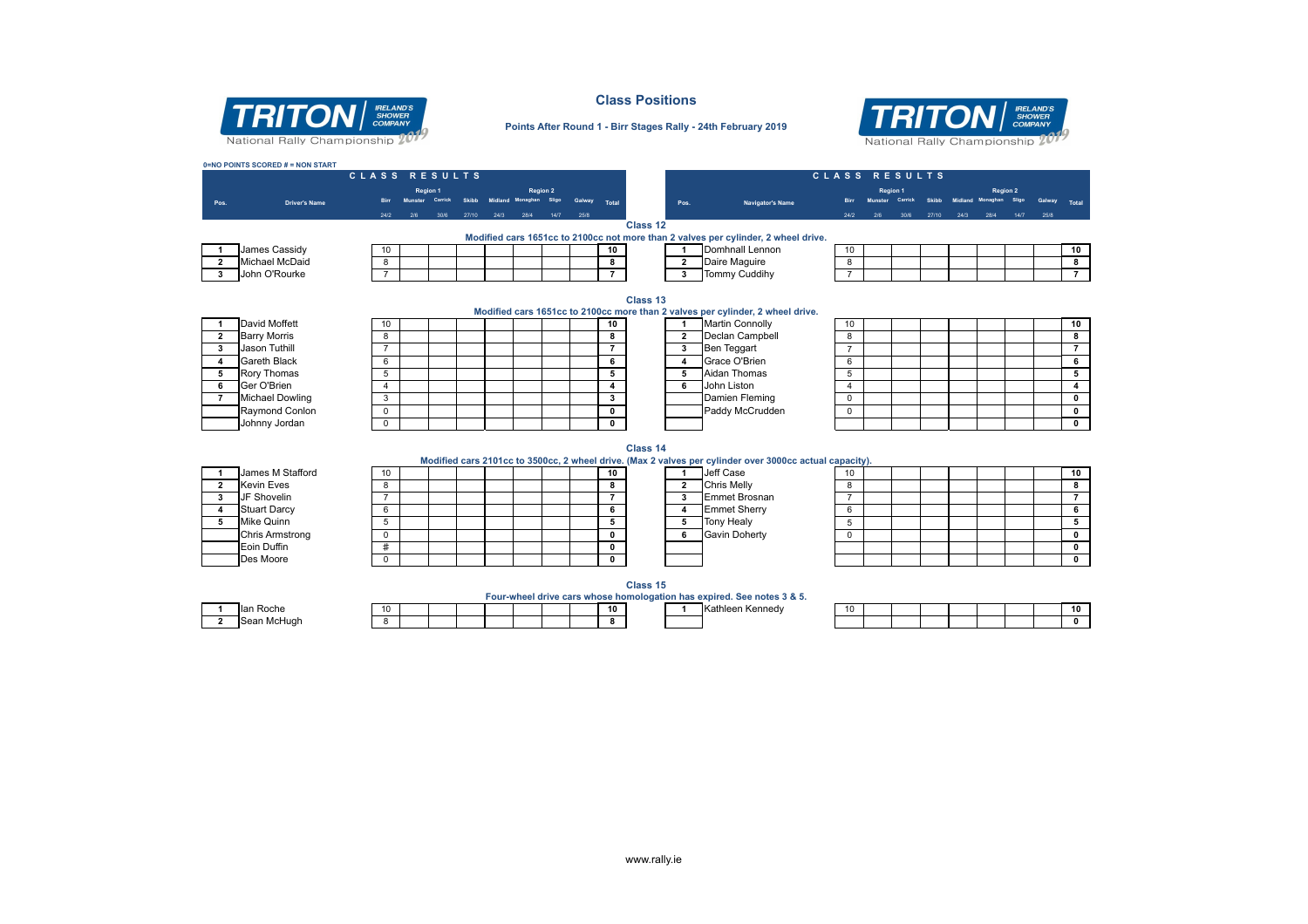

**0=NO POINTS SCORED # = NON START**

#### **Class Positions**



#### **Points After Round 1 - Birr Stages Rally - 24th February 2019**

**C L A S S R E S U L T S C L A S S R E S U L T S**

|                |                        |                | <b>Region 1</b> |         |       | <b>Region 2</b>  |      |        |                |          |                      |                                                                                                         |                |         | Region 1 |              |      |                  | <b>Region 2</b> |      |                         |
|----------------|------------------------|----------------|-----------------|---------|-------|------------------|------|--------|----------------|----------|----------------------|---------------------------------------------------------------------------------------------------------|----------------|---------|----------|--------------|------|------------------|-----------------|------|-------------------------|
| Pos.           | <b>Driver's Name</b>   |                |                 | Carrick |       | Midland Monaghan |      | Galway | <b>Total</b>   |          | Pos.                 | <b>Navigator's Name</b>                                                                                 | <b>Birr</b>    | Munster | Carrick  | <b>Skibb</b> |      | Midland Monaghan |                 |      | Total                   |
|                |                        | 24/2           | 2/6             | 30/6    | 27/10 | 24/3 28/4        | 14/7 | 25/8   |                |          |                      |                                                                                                         | 24/2           | 2/6     | 30/6     | 27/10        | 24/3 | 28/4             | 14/7            | 25/8 |                         |
|                |                        |                |                 |         |       |                  |      |        |                | Class 12 |                      | Modified cars 1651cc to 2100cc not more than 2 valves per cylinder, 2 wheel drive.                      |                |         |          |              |      |                  |                 |      |                         |
|                | James Cassidy          | 10             |                 |         |       |                  |      |        | 10             |          | $\mathbf{1}$         | Domhnall Lennon                                                                                         | 10             |         |          |              |      |                  |                 |      | 10                      |
| $\overline{2}$ | <b>Michael McDaid</b>  | 8              |                 |         |       |                  |      |        | 8              |          | $\overline{2}$       | Daire Maguire                                                                                           | 8              |         |          |              |      |                  |                 |      | 8                       |
| 3              | John O'Rourke          | $\overline{7}$ |                 |         |       |                  |      |        | $\overline{7}$ |          | $\mathbf{3}$         | <b>Tommy Cuddihy</b>                                                                                    | $\overline{7}$ |         |          |              |      |                  |                 |      | $\overline{7}$          |
|                |                        |                |                 |         |       |                  |      |        |                |          |                      |                                                                                                         |                |         |          |              |      |                  |                 |      |                         |
|                |                        |                |                 |         |       |                  |      |        |                | Class 13 |                      |                                                                                                         |                |         |          |              |      |                  |                 |      |                         |
|                |                        |                |                 |         |       |                  |      |        |                |          |                      | Modified cars 1651cc to 2100cc more than 2 valves per cylinder, 2 wheel drive.                          |                |         |          |              |      |                  |                 |      |                         |
| 1              | David Moffett          | 10             |                 |         |       |                  |      |        | 10             |          | $\blacktriangleleft$ | <b>Martin Connolly</b>                                                                                  | 10             |         |          |              |      |                  |                 |      | 10                      |
| $\overline{2}$ | <b>Barry Morris</b>    | 8              |                 |         |       |                  |      |        | 8              |          | $\overline{2}$       | Declan Campbell                                                                                         | 8              |         |          |              |      |                  |                 |      | 8                       |
| 3              | Jason Tuthill          | $\overline{7}$ |                 |         |       |                  |      |        | $\overline{7}$ |          | 3                    | <b>Ben Teggart</b>                                                                                      | $\overline{7}$ |         |          |              |      |                  |                 |      | $\overline{7}$          |
| 4              | <b>Gareth Black</b>    | 6              |                 |         |       |                  |      |        | 6              |          | 4                    | Grace O'Brien                                                                                           | 6              |         |          |              |      |                  |                 |      | 6                       |
| 5              | <b>Rory Thomas</b>     | 5              |                 |         |       |                  |      |        | 5              |          | 5                    | <b>Aidan Thomas</b>                                                                                     | 5              |         |          |              |      |                  |                 |      | $\overline{\mathbf{5}}$ |
| 6              | Ger O'Brien            | $\overline{4}$ |                 |         |       |                  |      |        | 4              |          | 6                    | John Liston                                                                                             | $\overline{4}$ |         |          |              |      |                  |                 |      | $\overline{4}$          |
| $\overline{7}$ | <b>Michael Dowling</b> | 3              |                 |         |       |                  |      |        | 3              |          |                      | Damien Fleming                                                                                          | 0              |         |          |              |      |                  |                 |      | $\pmb{0}$               |
|                | Raymond Conlon         | $\mathbf 0$    |                 |         |       |                  |      |        | $\mathbf 0$    |          |                      | Paddy McCrudden                                                                                         | $\mathbf 0$    |         |          |              |      |                  |                 |      | $\mathbf 0$             |
|                | Johnny Jordan          | $\mathbf 0$    |                 |         |       |                  |      |        | $\mathbf 0$    |          |                      |                                                                                                         |                |         |          |              |      |                  |                 |      | $\overline{\mathbf{0}}$ |
|                |                        |                |                 |         |       |                  |      |        |                |          |                      |                                                                                                         |                |         |          |              |      |                  |                 |      |                         |
|                |                        |                |                 |         |       |                  |      |        |                | Class 14 |                      |                                                                                                         |                |         |          |              |      |                  |                 |      |                         |
|                |                        |                |                 |         |       |                  |      |        |                |          |                      | Modified cars 2101cc to 3500cc, 2 wheel drive. (Max 2 valves per cylinder over 3000cc actual capacity). |                |         |          |              |      |                  |                 |      |                         |
|                | James M Stafford       | 10             |                 |         |       |                  |      |        | 10             |          | $\blacksquare$       | Jeff Case                                                                                               | 10             |         |          |              |      |                  |                 |      | 10                      |
| $\overline{2}$ | <b>Kevin Eves</b>      | 8              |                 |         |       |                  |      |        | 8              |          | $\overline{2}$       | Chris Melly                                                                                             | 8              |         |          |              |      |                  |                 |      | 8                       |
| 3              | JF Shovelin            | $\overline{7}$ |                 |         |       |                  |      |        | $\overline{7}$ |          | $\mathbf{3}$         | <b>Emmet Brosnan</b>                                                                                    | $\overline{7}$ |         |          |              |      |                  |                 |      | $\overline{7}$          |
| 4              | <b>Stuart Darcy</b>    | 6              |                 |         |       |                  |      |        | 6              |          | 4                    | <b>Emmet Sherry</b>                                                                                     | 6              |         |          |              |      |                  |                 |      | 6                       |
| 5              | Mike Quinn             | 5              |                 |         |       |                  |      |        | 5              |          | 5                    | <b>Tony Healy</b>                                                                                       | 5              |         |          |              |      |                  |                 |      | 5                       |
|                | <b>Chris Armstrong</b> | $\mathbf 0$    |                 |         |       |                  |      |        | $\mathbf 0$    |          | 6                    | <b>Gavin Doherty</b>                                                                                    | 0              |         |          |              |      |                  |                 |      | $\mathbf 0$             |
|                | Eoin Duffin            | #              |                 |         |       |                  |      |        | 0              |          |                      |                                                                                                         |                |         |          |              |      |                  |                 |      | $\mathbf{0}$            |
|                | Des Moore              | $\mathsf{O}$   |                 |         |       |                  |      |        | 0              |          |                      |                                                                                                         |                |         |          |              |      |                  |                 |      | $\mathbf 0$             |
|                |                        |                |                 |         |       |                  |      |        |                |          |                      |                                                                                                         |                |         |          |              |      |                  |                 |      |                         |
|                |                        |                |                 |         |       |                  |      |        |                | Class 15 |                      |                                                                                                         |                |         |          |              |      |                  |                 |      |                         |

**Four-wheel drive cars whose homologation has expired. See notes 3 & 5. 1** Ian Roche 10 **10 10 10 10 10 10 1 10 1** *x* **11** *x* **11** *x* **11** *x* **11** *x* **11** *x* **11** *x* **11** *x* **11** *x* **11** *x* **11** *x* **11** *x* **11** *x* **11** *x* **11 11 11** 

| ∎ian Roche       | . . |  |  |  | - 10     |  | нк ат<br>nieen Kenneav | -10 |  |  |  | . . |
|------------------|-----|--|--|--|----------|--|------------------------|-----|--|--|--|-----|
| ı McHuah<br>Sea. |     |  |  |  | <u>n</u> |  |                        |     |  |  |  |     |
|                  |     |  |  |  |          |  |                        |     |  |  |  |     |

www.rally.ie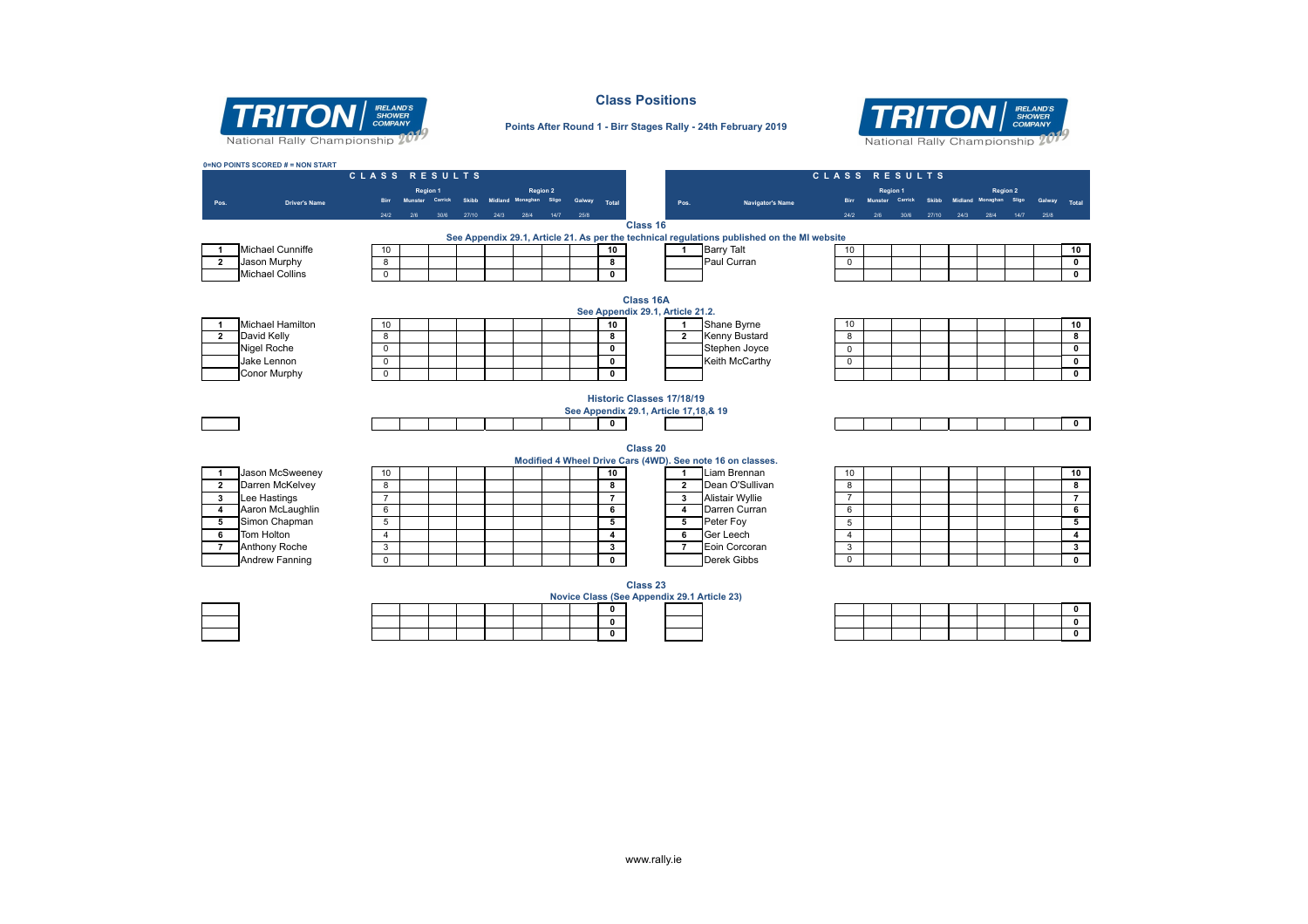

#### **Class Positions**



#### **Points After Round 1 - Birr Stages Rally - 24th February 2019**

|      |                                        | CLASS RESULTS    |     |                            |              |      |                                           |      |        |                                |                                       |                                                                                             | CLASS RESULTS    |          |                 |              |      |                                     |       |               |
|------|----------------------------------------|------------------|-----|----------------------------|--------------|------|-------------------------------------------|------|--------|--------------------------------|---------------------------------------|---------------------------------------------------------------------------------------------|------------------|----------|-----------------|--------------|------|-------------------------------------|-------|---------------|
|      |                                        |                  |     | <b>Region 1</b><br>Carrick | <b>Skibb</b> |      | <b>Region 2</b><br>Midland Monaghan Sligo |      | Galway |                                |                                       |                                                                                             |                  | Region 1 | Munster Carrick | <b>Skibb</b> |      | <b>Region 2</b><br>Midland Monaghan | Sligo | <b>Galway</b> |
| Pos. | <b>Driver's Name</b>                   |                  |     |                            |              |      |                                           |      |        | Total                          | Pos.                                  | Navigator's Name                                                                            |                  |          |                 |              |      |                                     |       |               |
|      |                                        | 24/2             | 2/6 | 30/6                       | 27/10        | 24/3 | 28/4                                      | 14/7 | 25/8   |                                | Class 16                              |                                                                                             | 24/2             | 2/6      | 30/6            | 27/10        | 24/3 | 28/4                                | 14/7  | 25/8          |
|      |                                        |                  |     |                            |              |      |                                           |      |        |                                |                                       | See Appendix 29.1, Article 21. As per the technical regulations published on the MI website |                  |          |                 |              |      |                                     |       |               |
|      | Michael Cunniffe                       | 10               |     |                            |              |      |                                           |      |        | 10                             | -1                                    | <b>Barry Talt</b>                                                                           | 10               |          |                 |              |      |                                     |       |               |
|      | Jason Murphy                           | 8                |     |                            |              |      |                                           |      |        | 8                              |                                       | Paul Curran                                                                                 | $\mathbf 0$      |          |                 |              |      |                                     |       |               |
|      | <b>Michael Collins</b>                 | $\mathbf 0$      |     |                            |              |      |                                           |      |        | $\mathbf 0$                    |                                       |                                                                                             |                  |          |                 |              |      |                                     |       |               |
|      |                                        |                  |     |                            |              |      |                                           |      |        |                                |                                       |                                                                                             |                  |          |                 |              |      |                                     |       |               |
|      |                                        |                  |     |                            |              |      |                                           |      |        |                                | Class 16A                             |                                                                                             |                  |          |                 |              |      |                                     |       |               |
|      |                                        |                  |     |                            |              |      |                                           |      |        |                                | See Appendix 29.1, Article 21.2.      |                                                                                             |                  |          |                 |              |      |                                     |       |               |
|      | <b>Michael Hamilton</b>                | 10               |     |                            |              |      |                                           |      |        | 10                             | -1                                    | Shane Byrne                                                                                 | 10               |          |                 |              |      |                                     |       |               |
|      | David Kelly                            | 8                |     |                            |              |      |                                           |      |        | 8                              | $\overline{2}$                        | <b>Kenny Bustard</b>                                                                        | 8                |          |                 |              |      |                                     |       |               |
|      | <b>Nigel Roche</b>                     | $\mathbf 0$      |     |                            |              |      |                                           |      |        | $\mathbf{0}$                   |                                       | Stephen Joyce                                                                               | $\Omega$         |          |                 |              |      |                                     |       |               |
|      | Jake Lennon                            | $\mathbf 0$      |     |                            |              |      |                                           |      |        | $\mathbf 0$                    |                                       | Keith McCarthy                                                                              | $\mathbf 0$      |          |                 |              |      |                                     |       |               |
|      | Conor Murphy                           | $\Omega$         |     |                            |              |      |                                           |      |        | $\mathbf{0}$                   |                                       |                                                                                             |                  |          |                 |              |      |                                     |       |               |
|      |                                        |                  |     |                            |              |      |                                           |      |        |                                |                                       |                                                                                             |                  |          |                 |              |      |                                     |       |               |
|      |                                        |                  |     |                            |              |      |                                           |      |        |                                | <b>Historic Classes 17/18/19</b>      |                                                                                             |                  |          |                 |              |      |                                     |       |               |
|      |                                        |                  |     |                            |              |      |                                           |      |        |                                | See Appendix 29.1, Article 17,18,& 19 |                                                                                             |                  |          |                 |              |      |                                     |       |               |
|      |                                        |                  |     |                            |              |      |                                           |      |        | $\mathbf{0}$                   |                                       |                                                                                             |                  |          |                 |              |      |                                     |       |               |
|      |                                        |                  |     |                            |              |      |                                           |      |        |                                |                                       |                                                                                             |                  |          |                 |              |      |                                     |       |               |
|      |                                        |                  |     |                            |              |      |                                           |      |        |                                | Class 20                              |                                                                                             |                  |          |                 |              |      |                                     |       |               |
|      |                                        |                  |     |                            |              |      |                                           |      |        |                                |                                       | Modified 4 Wheel Drive Cars (4WD). See note 16 on classes.                                  |                  |          |                 |              |      |                                     |       |               |
|      | Jason McSweeney                        | 10               |     |                            |              |      |                                           |      |        | 10                             | $\mathbf{1}$                          | Liam Brennan                                                                                | 10               |          |                 |              |      |                                     |       |               |
|      | Darren McKelvey                        | 8                |     |                            |              |      |                                           |      |        | 8                              | $\overline{2}$                        | Dean O'Sullivan                                                                             | 8                |          |                 |              |      |                                     |       |               |
|      |                                        | $\overline{7}$   |     |                            |              |      |                                           |      |        | $\overline{7}$                 | 3                                     | Alistair Wyllie                                                                             | $\overline{7}$   |          |                 |              |      |                                     |       |               |
|      |                                        |                  |     |                            |              |      |                                           |      |        | 6                              | $\overline{4}$                        | Darren Curran                                                                               | 6                |          |                 |              |      |                                     |       |               |
|      | Lee Hastings                           | 6                |     |                            |              |      |                                           |      |        | 5                              | 5                                     | Peter Foy                                                                                   | 5                |          |                 |              |      |                                     |       |               |
|      | Aaron McLaughlin                       | 5                |     |                            |              |      |                                           |      |        |                                | 6                                     | Ger Leech                                                                                   | $\overline{4}$   |          |                 |              |      |                                     |       |               |
|      | Simon Chapman                          |                  |     |                            |              |      |                                           |      |        |                                |                                       |                                                                                             |                  |          |                 |              |      |                                     |       |               |
|      | Tom Holton                             | $\overline{4}$   |     |                            |              |      |                                           |      |        | $\overline{4}$<br>$\mathbf{3}$ | $\overline{7}$                        | Eoin Corcoran                                                                               |                  |          |                 |              |      |                                     |       |               |
|      | Anthony Roche<br><b>Andrew Fanning</b> | 3<br>$\mathbf 0$ |     |                            |              |      |                                           |      |        | $\mathbf 0$                    |                                       | Derek Gibbs                                                                                 | 3<br>$\mathbf 0$ |          |                 |              |      |                                     |       |               |

|  |  |  | Class <sub>23</sub><br>Novice Class (See Appendix 29.1 Artio |  |
|--|--|--|--------------------------------------------------------------|--|
|  |  |  |                                                              |  |
|  |  |  |                                                              |  |
|  |  |  |                                                              |  |

|  | (See Appendix 29.1 Article 23) |  |  |  |  |  |
|--|--------------------------------|--|--|--|--|--|
|  |                                |  |  |  |  |  |
|  |                                |  |  |  |  |  |
|  |                                |  |  |  |  |  |